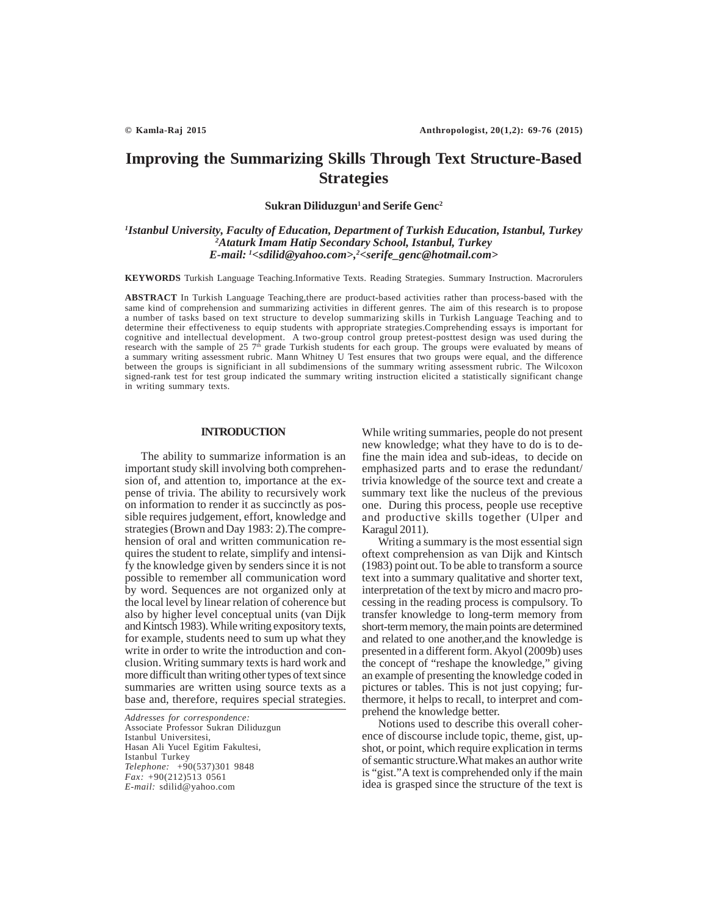# **Improving the Summarizing Skills Through Text Structure-Based Strategies**

## **Sukran Diliduzgun<sup>1</sup> and Serife Genc<sup>2</sup>**

## *1 Istanbul University, Faculty of Education, Department of Turkish Education, Istanbul, Turkey 2 Ataturk Imam Hatip Secondary School, Istanbul, Turkey E-mail: 1 <sdilid@yahoo.com>,2 <serife\_genc@hotmail.com>*

**KEYWORDS** Turkish Language Teaching.Informative Texts. Reading Strategies. Summary Instruction. Macrorulers

**ABSTRACT** In Turkish Language Teaching,there are product-based activities rather than process-based with the same kind of comprehension and summarizing activities in different genres. The aim of this research is to propose a number of tasks based on text structure to develop summarizing skills in Turkish Language Teaching and to determine their effectiveness to equip students with appropriate strategies.Comprehending essays is important for cognitive and intellectual development. A two-group control group pretest-posttest design was used during the research with the sample of 25 7th grade Turkish students for each group. The groups were evaluated by means of a summary writing assessment rubric. Mann Whitney U Test ensures that two groups were equal, and the difference between the groups is significiant in all subdimensions of the summary writing assessment rubric. The Wilcoxon signed-rank test for test group indicated the summary writing instruction elicited a statistically significant change in writing summary texts.

## **INTRODUCTION**

The ability to summarize information is an important study skill involving both comprehension of, and attention to, importance at the expense of trivia. The ability to recursively work on information to render it as succinctly as possible requires judgement, effort, knowledge and strategies (Brown and Day 1983: 2).The comprehension of oral and written communication requires the student to relate, simplify and intensify the knowledge given by senders since it is not possible to remember all communication word by word. Sequences are not organized only at the local level by linear relation of coherence but also by higher level conceptual units (van Dijk and Kintsch 1983). While writing expository texts, for example, students need to sum up what they write in order to write the introduction and conclusion. Writing summary texts is hard work and more difficult than writing other types of text since summaries are written using source texts as a base and, therefore, requires special strategies.

*Addresses for correspondence:* Associate Professor Sukran Diliduzgun Istanbul Universitesi, Hasan Ali Yucel Egitim Fakultesi, Istanbul Turkey *Telephone:* +90(537)301 9848 *Fax:* +90(212)513 0561 *E-mail:* sdilid@yahoo.com

While writing summaries, people do not present new knowledge; what they have to do is to define the main idea and sub-ideas, to decide on emphasized parts and to erase the redundant/ trivia knowledge of the source text and create a summary text like the nucleus of the previous one. During this process, people use receptive and productive skills together (Ulper and Karagul 2011).

Writing a summary is the most essential sign oftext comprehension as van Dijk and Kintsch (1983) point out. To be able to transform a source text into a summary qualitative and shorter text, interpretation of the text by micro and macro processing in the reading process is compulsory. To transfer knowledge to long-term memory from short-term memory, the main points are determined and related to one another,and the knowledge is presented in a different form. Akyol (2009b) uses the concept of "reshape the knowledge," giving an example of presenting the knowledge coded in pictures or tables. This is not just copying; furthermore, it helps to recall, to interpret and comprehend the knowledge better.

Notions used to describe this overall coherence of discourse include topic, theme, gist, upshot, or point, which require explication in terms of semantic structure.What makes an author write is "gist."A text is comprehended only if the main idea is grasped since the structure of the text is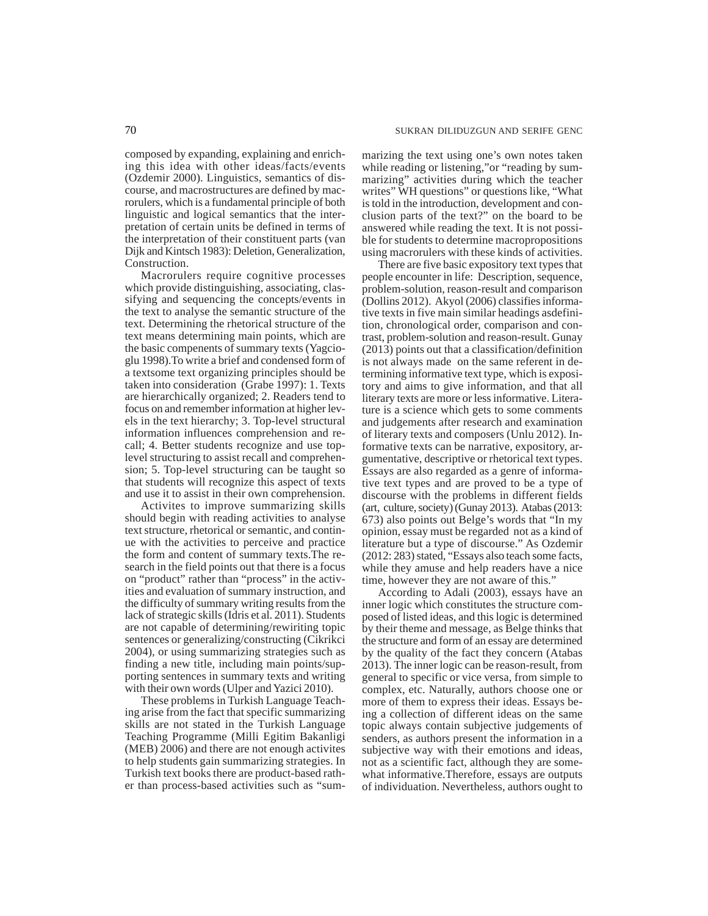composed by expanding, explaining and enriching this idea with other ideas/facts/events (Ozdemir 2000). Linguistics, semantics of discourse, and macrostructures are defined by macrorulers, which is a fundamental principle of both linguistic and logical semantics that the interpretation of certain units be defined in terms of the interpretation of their constituent parts (van Dijk and Kintsch 1983): Deletion, Generalization, Construction.

Macrorulers require cognitive processes which provide distinguishing, associating, classifying and sequencing the concepts/events in the text to analyse the semantic structure of the text. Determining the rhetorical structure of the text means determining main points, which are the basic compenents of summary texts (Yagcioglu 1998).To write a brief and condensed form of a textsome text organizing principles should be taken into consideration (Grabe 1997): 1. Texts are hierarchically organized; 2. Readers tend to focus on and remember information at higher levels in the text hierarchy; 3. Top-level structural information influences comprehension and recall; 4. Better students recognize and use toplevel structuring to assist recall and comprehension; 5. Top-level structuring can be taught so that students will recognize this aspect of texts and use it to assist in their own comprehension.

Activites to improve summarizing skills should begin with reading activities to analyse text structure, rhetorical or semantic, and continue with the activities to perceive and practice the form and content of summary texts.The research in the field points out that there is a focus on "product" rather than "process" in the activities and evaluation of summary instruction, and the difficulty of summary writing results from the lack of strategic skills (Idris et al. 2011). Students are not capable of determining/rewiriting topic sentences or generalizing/constructing (Cikrikci 2004), or using summarizing strategies such as finding a new title, including main points/supporting sentences in summary texts and writing with their own words (Ulper and Yazici 2010).

These problems in Turkish Language Teaching arise from the fact that specific summarizing skills are not stated in the Turkish Language Teaching Programme (Milli Egitim Bakanligi (MEB) 2006) and there are not enough activites to help students gain summarizing strategies. In Turkish text books there are product-based rather than process-based activities such as "summarizing the text using one's own notes taken while reading or listening,"or "reading by summarizing" activities during which the teacher writes" WH questions" or questions like, "What is told in the introduction, development and conclusion parts of the text?" on the board to be answered while reading the text. It is not possible for students to determine macropropositions using macrorulers with these kinds of activities.

There are five basic expository text types that people encounter in life: Description, sequence, problem-solution, reason-result and comparison (Dollins 2012). Akyol (2006) classifies informative texts in five main similar headings asdefinition, chronological order, comparison and contrast, problem-solution and reason-result. Gunay (2013) points out that a classification/definition is not always made on the same referent in determining informative text type, which is expository and aims to give information, and that all literary texts are more or less informative. Literature is a science which gets to some comments and judgements after research and examination of literary texts and composers (Unlu 2012). Informative texts can be narrative, expository, argumentative, descriptive or rhetorical text types. Essays are also regarded as a genre of informative text types and are proved to be a type of discourse with the problems in different fields (art, culture, society) (Gunay 2013). Atabas (2013: 673) also points out Belge's words that "In my opinion, essay must be regarded not as a kind of literature but a type of discourse." As Ozdemir (2012: 283) stated, "Essays also teach some facts, while they amuse and help readers have a nice time, however they are not aware of this."

According to Adali (2003), essays have an inner logic which constitutes the structure composed of listed ideas, and this logic is determined by their theme and message, as Belge thinks that the structure and form of an essay are determined by the quality of the fact they concern (Atabas 2013). The inner logic can be reason-result, from general to specific or vice versa, from simple to complex, etc. Naturally, authors choose one or more of them to express their ideas. Essays being a collection of different ideas on the same topic always contain subjective judgements of senders, as authors present the information in a subjective way with their emotions and ideas, not as a scientific fact, although they are somewhat informative.Therefore, essays are outputs of individuation. Nevertheless, authors ought to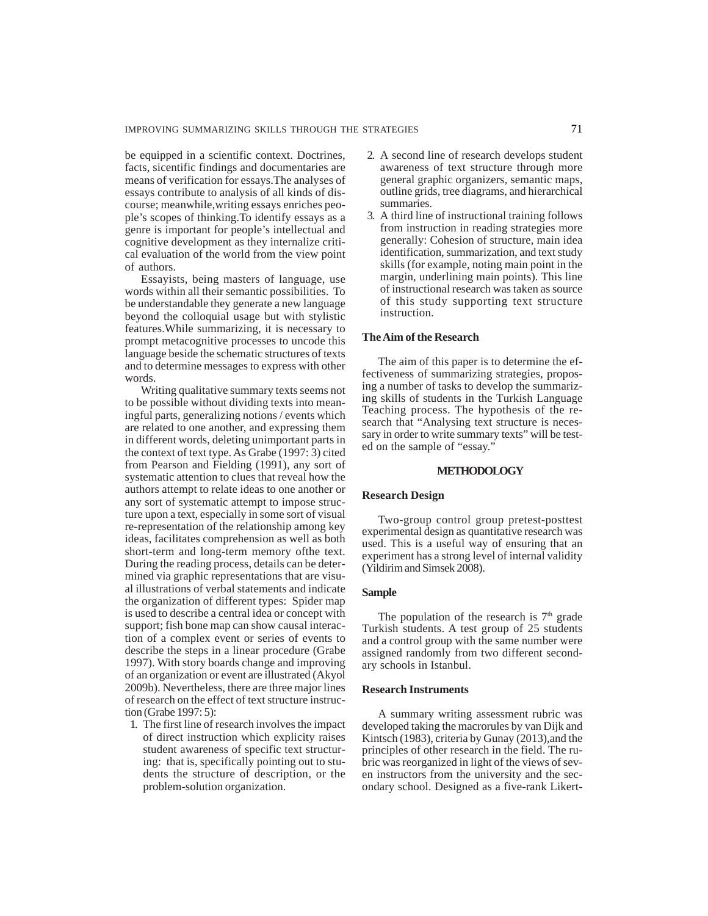be equipped in a scientific context. Doctrines, facts, sicentific findings and documentaries are means of verification for essays.The analyses of essays contribute to analysis of all kinds of discourse; meanwhile,writing essays enriches people's scopes of thinking.To identify essays as a genre is important for people's intellectual and cognitive development as they internalize critical evaluation of the world from the view point of authors.

Essayists, being masters of language, use words within all their semantic possibilities. To be understandable they generate a new language beyond the colloquial usage but with stylistic features.While summarizing, it is necessary to prompt metacognitive processes to uncode this language beside the schematic structures of texts and to determine messages to express with other words.

Writing qualitative summary texts seems not to be possible without dividing texts into meaningful parts, generalizing notions / events which are related to one another, and expressing them in different words, deleting unimportant parts in the context of text type. As Grabe (1997: 3) cited from Pearson and Fielding (1991), any sort of systematic attention to clues that reveal how the authors attempt to relate ideas to one another or any sort of systematic attempt to impose structure upon a text, especially in some sort of visual re-representation of the relationship among key ideas, facilitates comprehension as well as both short-term and long-term memory ofthe text. During the reading process, details can be determined via graphic representations that are visual illustrations of verbal statements and indicate the organization of different types: Spider map is used to describe a central idea or concept with support; fish bone map can show causal interaction of a complex event or series of events to describe the steps in a linear procedure (Grabe 1997). With story boards change and improving of an organization or event are illustrated (Akyol 2009b). Nevertheless, there are three major lines of research on the effect of text structure instruction (Grabe 1997: 5):

1. The first line of research involves the impact of direct instruction which explicity raises student awareness of specific text structuring: that is, specifically pointing out to students the structure of description, or the problem-solution organization.

- 2. A second line of research develops student awareness of text structure through more general graphic organizers, semantic maps, outline grids, tree diagrams, and hierarchical summaries.
- 3. A third line of instructional training follows from instruction in reading strategies more generally: Cohesion of structure, main idea identification, summarization, and text study skills (for example, noting main point in the margin, underlining main points). This line of instructional research was taken as source of this study supporting text structure instruction.

## **The Aim of the Research**

The aim of this paper is to determine the effectiveness of summarizing strategies, proposing a number of tasks to develop the summarizing skills of students in the Turkish Language Teaching process. The hypothesis of the research that "Analysing text structure is necessary in order to write summary texts" will be tested on the sample of "essay."

## **METHODOLOGY**

## **Research Design**

Two-group control group pretest-posttest experimental design as quantitative research was used. This is a useful way of ensuring that an experiment has a strong level of internal validity (Yildirim and Simsek 2008).

## **Sample**

The population of the research is  $7<sup>th</sup>$  grade Turkish students. A test group of 25 students and a control group with the same number were assigned randomly from two different secondary schools in Istanbul.

#### **Research Instruments**

A summary writing assessment rubric was developed taking the macrorules by van Dijk and Kintsch (1983), criteria by Gunay (2013),and the principles of other research in the field. The rubric was reorganized in light of the views of seven instructors from the university and the secondary school. Designed as a five-rank Likert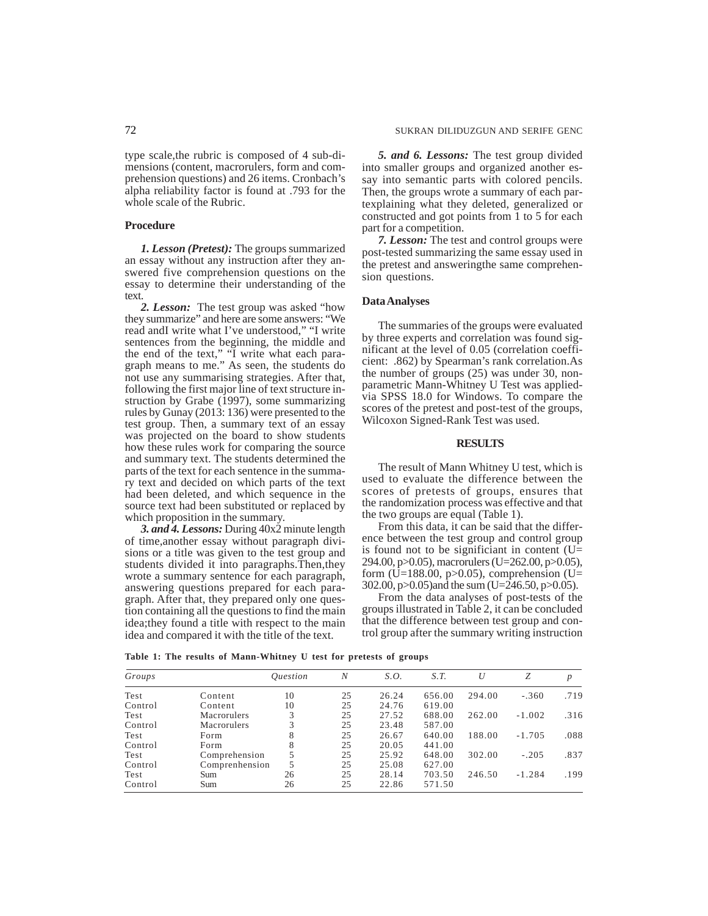type scale,the rubric is composed of 4 sub-dimensions (content, macrorulers, form and comprehension questions) and 26 items. Cronbach's alpha reliability factor is found at .793 for the whole scale of the Rubric.

#### **Procedure**

*1. Lesson (Pretest):* The groups summarized an essay without any instruction after they answered five comprehension questions on the essay to determine their understanding of the text.

*2. Lesson:* The test group was asked "how they summarize" and here are some answers: "We read andI write what I've understood," "I write sentences from the beginning, the middle and the end of the text," "I write what each paragraph means to me." As seen, the students do not use any summarising strategies. After that, following the first major line of text structure instruction by Grabe (1997), some summarizing rules by Gunay (2013: 136) were presented to the test group. Then, a summary text of an essay was projected on the board to show students how these rules work for comparing the source and summary text. The students determined the parts of the text for each sentence in the summary text and decided on which parts of the text had been deleted, and which sequence in the source text had been substituted or replaced by which proposition in the summary.

*3. and 4. Lessons:* During 40x2 minute length of time,another essay without paragraph divisions or a title was given to the test group and students divided it into paragraphs.Then,they wrote a summary sentence for each paragraph, answering questions prepared for each paragraph. After that, they prepared only one question containing all the questions to find the main idea;they found a title with respect to the main idea and compared it with the title of the text.

*5. and 6. Lessons:* The test group divided into smaller groups and organized another essay into semantic parts with colored pencils. Then, the groups wrote a summary of each partexplaining what they deleted, generalized or constructed and got points from 1 to 5 for each part for a competition.

*7. Lesson:* The test and control groups were post-tested summarizing the same essay used in the pretest and answeringthe same comprehension questions.

### **Data Analyses**

The summaries of the groups were evaluated by three experts and correlation was found significant at the level of 0.05 (correlation coefficient: .862) by Spearman's rank correlation.As the number of groups (25) was under 30, nonparametric Mann-Whitney U Test was appliedvia SPSS 18.0 for Windows. To compare the scores of the pretest and post-test of the groups, Wilcoxon Signed-Rank Test was used.

## **RESULTS**

The result of Mann Whitney U test, which is used to evaluate the difference between the scores of pretests of groups, ensures that the randomization process was effective and that the two groups are equal (Table 1).

From this data, it can be said that the difference between the test group and control group is found not to be significiant in content  $(U=$ 294.00, p>0.05), macrorulers (U=262.00, p>0.05), form (U=188.00, p $>0.05$ ), comprehension (U= 302.00, p>0.05)and the sum (U=246.50, p>0.05).

From the data analyses of post-tests of the groups illustrated in Table 2, it can be concluded that the difference between test group and control group after the summary writing instruction

**Table 1: The results of Mann-Whitney U test for pretests of groups**

| Groups  |                | <i><u><b>Ouestion</b></u></i> | N  | S.O.  | S.T.   | U      | Z        | p    |
|---------|----------------|-------------------------------|----|-------|--------|--------|----------|------|
| Test    | Content        | 10                            | 25 | 26.24 | 656.00 | 294.00 | $-.360$  | .719 |
| Control | Content        | 10                            | 25 | 24.76 | 619.00 |        |          |      |
| Test    | Macrorulers    | 3                             | 25 | 27.52 | 688.00 | 262.00 | $-1.002$ | .316 |
| Control | Macrorulers    | 3                             | 25 | 23.48 | 587.00 |        |          |      |
| Test    | Form           |                               | 25 | 26.67 | 640.00 | 188.00 | $-1.705$ | .088 |
| Control | Form           |                               | 25 | 20.05 | 441.00 |        |          |      |
| Test    | Comprehension  |                               | 25 | 25.92 | 648.00 | 302.00 | $-.205$  | .837 |
| Control | Comprenhension |                               | 25 | 25.08 | 627.00 |        |          |      |
| Test    | <b>Sum</b>     | 26                            | 25 | 28.14 | 703.50 | 246.50 | $-1.284$ | .199 |
| Control | Sum            | 26                            | 25 | 22.86 | 571.50 |        |          |      |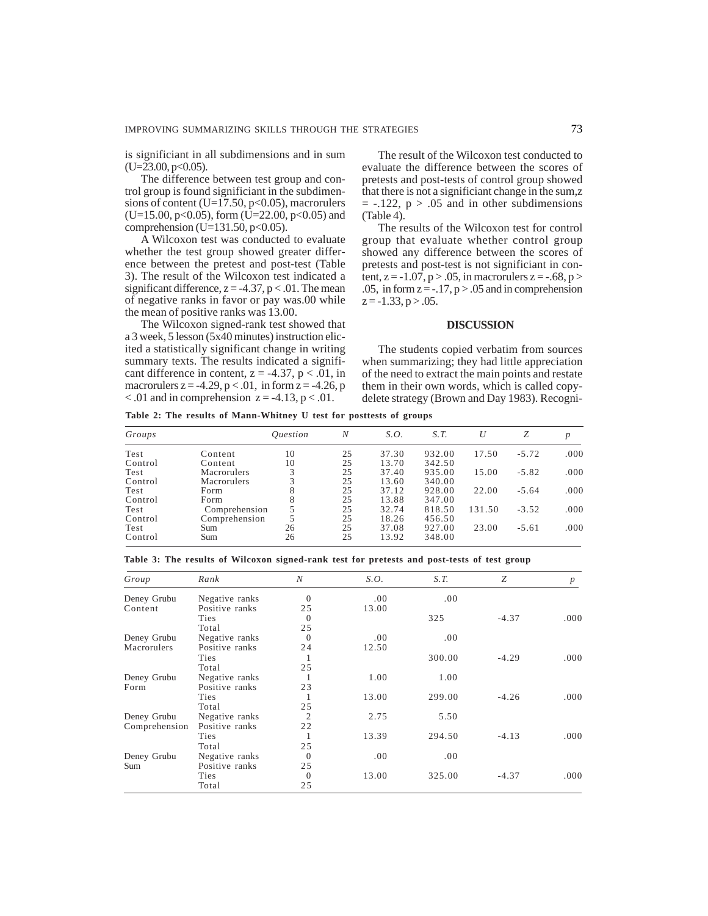is significiant in all subdimensions and in sum  $(U=23.00, p<0.05)$ .

The difference between test group and control group is found significiant in the subdimensions of content (U=17.50, p<0.05), macrorulers  $(U=15.00, p<0.05)$ , form  $(U=22.00, p<0.05)$  and comprehension (U=131.50,  $p<0.05$ ).

A Wilcoxon test was conducted to evaluate whether the test group showed greater difference between the pretest and post-test (Table 3). The result of the Wilcoxon test indicated a significant difference,  $z = -4.37$ ,  $p < .01$ . The mean of negative ranks in favor or pay was.00 while the mean of positive ranks was 13.00.

The Wilcoxon signed-rank test showed that a 3 week, 5 lesson (5x40 minutes) instruction elicited a statistically significant change in writing summary texts. The results indicated a significant difference in content,  $z = -4.37$ ,  $p < .01$ , in macrorulers  $z = -4.29$ ,  $p < .01$ , in form  $z = -4.26$ , p  $< .01$  and in comprehension  $z = -4.13$ ,  $p < .01$ .

The result of the Wilcoxon test conducted to evaluate the difference between the scores of pretests and post-tests of control group showed that there is not a significiant change in the sum,z  $= -.122$ ,  $p > .05$  and in other subdimensions (Table 4).

The results of the Wilcoxon test for control group that evaluate whether control group showed any difference between the scores of pretests and post-test is not significiant in content,  $z = -1.07$ ,  $p > .05$ , in macrorulers  $z = -.68$ ,  $p >$ .05, in form  $z = -17$ ,  $p > 0.05$  and in comprehension  $z = -1.33, p > .05.$ 

## **DISCUSSION**

The students copied verbatim from sources when summarizing; they had little appreciation of the need to extract the main points and restate them in their own words, which is called copydelete strategy (Brown and Day 1983). Recogni-

**Table 2: The results of Mann-Whitney U test for posttests of groups**

| Groups  |               | <i><u><b>Ouestion</b></u></i> | N  | S.O.  | S.T.   | U      | Ζ       | p    |
|---------|---------------|-------------------------------|----|-------|--------|--------|---------|------|
| Test    | Content       | 10                            | 25 | 37.30 | 932.00 | 17.50  | $-5.72$ | .000 |
| Control | Content       | 10                            | 25 | 13.70 | 342.50 |        |         |      |
| Test    | Macrorulers   | 3                             | 25 | 37.40 | 935.00 | 15.00  | $-5.82$ | .000 |
| Control | Macrorulers   |                               | 25 | 13.60 | 340.00 |        |         |      |
| Test    | Form          |                               | 25 | 37.12 | 928.00 | 22.00  | $-5.64$ | .000 |
| Control | Form          |                               | 25 | 13.88 | 347.00 |        |         |      |
| Test    | Comprehension |                               | 25 | 32.74 | 818.50 | 131.50 | $-3.52$ | .000 |
| Control | Comprehension |                               | 25 | 18.26 | 456.50 |        |         |      |
| Test    | Sum           | 26                            | 25 | 37.08 | 927.00 | 23.00  | $-5.61$ | .000 |
| Control | Sum           | 26                            | 25 | 13.92 | 348.00 |        |         |      |

**Table 3: The results of Wilcoxon signed-rank test for pretests and post-tests of test group**

| Group         | Rank           | N              | S.O.  | S.T.   | Ζ       | $\boldsymbol{p}$ |
|---------------|----------------|----------------|-------|--------|---------|------------------|
| Deney Grubu   | Negative ranks | $\Omega$       | .00   | .00.   |         |                  |
| Content       | Positive ranks | 25             | 13.00 |        |         |                  |
|               | Ties           | $\Omega$       |       | 325    | $-4.37$ | .000             |
|               | Total          | 25             |       |        |         |                  |
| Deney Grubu   | Negative ranks | $\Omega$       | .00.  | .00.   |         |                  |
| Macrorulers   | Positive ranks | 24             | 12.50 |        |         |                  |
|               | <b>Ties</b>    |                |       | 300.00 | $-4.29$ | .000             |
|               | Total          | 25             |       |        |         |                  |
| Deney Grubu   | Negative ranks |                | 1.00  | 1.00   |         |                  |
| Form          | Positive ranks | 23             |       |        |         |                  |
|               | Ties           |                | 13.00 | 299.00 | $-4.26$ | .000             |
|               | Total          | 25             |       |        |         |                  |
| Deney Grubu   | Negative ranks | $\overline{2}$ | 2.75  | 5.50   |         |                  |
| Comprehension | Positive ranks | 22             |       |        |         |                  |
|               | Ties           |                | 13.39 | 294.50 | $-4.13$ | .000             |
|               | Total          | 25             |       |        |         |                  |
| Deney Grubu   | Negative ranks | $\Omega$       | .00   | .00.   |         |                  |
| Sum           | Positive ranks | 25             |       |        |         |                  |
|               | Ties           | $\theta$       | 13.00 | 325.00 | $-4.37$ | .000             |
|               | Total          | 25             |       |        |         |                  |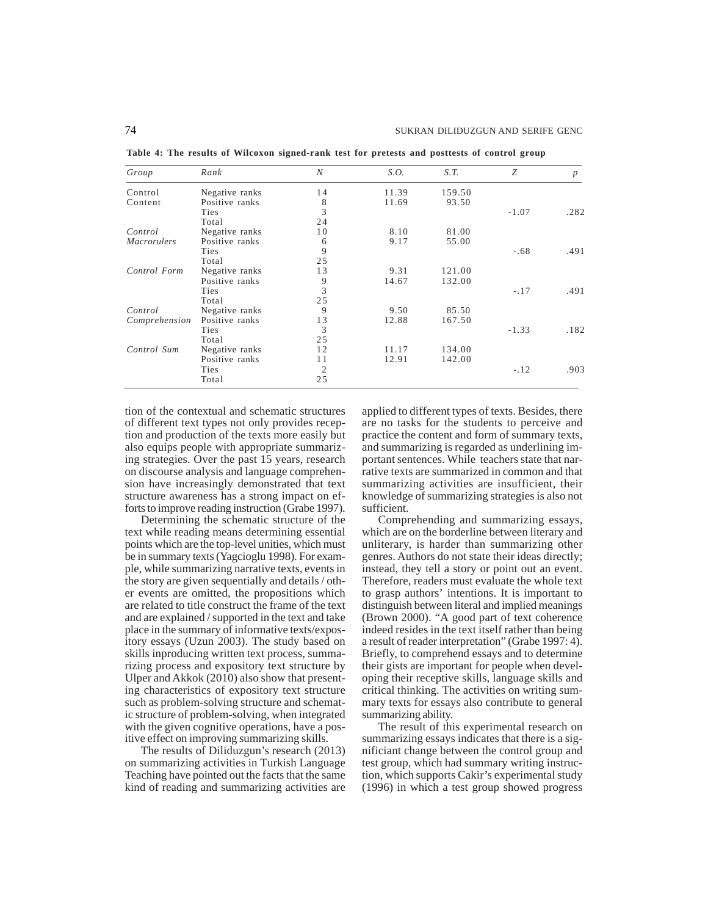| Group              | Rank           | N              | S.O.  | S.T.   | Z       | $\boldsymbol{p}$ |
|--------------------|----------------|----------------|-------|--------|---------|------------------|
| Control            | Negative ranks | 14             | 11.39 | 159.50 |         |                  |
| Content            | Positive ranks | $\frac{8}{3}$  | 11.69 | 93.50  |         |                  |
|                    | Ties           |                |       |        | $-1.07$ | .282             |
|                    | Total          | 24             |       |        |         |                  |
| Control            | Negative ranks | 10             | 8.10  | 81.00  |         |                  |
| <b>Macrorulers</b> | Positive ranks | 6              | 9.17  | 55.00  |         |                  |
|                    | Ties           | 9              |       |        | $-.68$  | .491             |
|                    | Total          | 25             |       |        |         |                  |
| Control Form       | Negative ranks | 13             | 9.31  | 121.00 |         |                  |
|                    | Positive ranks | $\frac{9}{3}$  | 14.67 | 132.00 |         |                  |
|                    | Ties           |                |       |        | $-.17$  | .491             |
|                    | Total          | 25             |       |        |         |                  |
| Control            | Negative ranks | 9              | 9.50  | 85.50  |         |                  |
| Comprehension      | Positive ranks | 13             | 12.88 | 167.50 |         |                  |
|                    | Ties           | 3              |       |        | $-1.33$ | .182             |
|                    | Total          | 25             |       |        |         |                  |
| Control Sum        | Negative ranks | 12             | 11.17 | 134.00 |         |                  |
|                    | Positive ranks | 11             | 12.91 | 142.00 |         |                  |
|                    | Ties           | $\overline{2}$ |       |        | $-.12$  | .903             |
|                    | Total          | 25             |       |        |         |                  |

**Table 4: The results of Wilcoxon signed-rank test for pretests and posttests of control group**

tion of the contextual and schematic structures of different text types not only provides reception and production of the texts more easily but also equips people with appropriate summarizing strategies. Over the past 15 years, research on discourse analysis and language comprehension have increasingly demonstrated that text structure awareness has a strong impact on efforts to improve reading instruction (Grabe 1997).

Determining the schematic structure of the text while reading means determining essential points which are the top-level unities, which must be in summary texts (Yagcioglu 1998). For example, while summarizing narrative texts, events in the story are given sequentially and details / other events are omitted, the propositions which are related to title construct the frame of the text and are explained / supported in the text and take place in the summary of informative texts/expository essays (Uzun 2003). The study based on skills inproducing written text process, summarizing process and expository text structure by Ulper and Akkok (2010) also show that presenting characteristics of expository text structure such as problem-solving structure and schematic structure of problem-solving, when integrated with the given cognitive operations, have a positive effect on improving summarizing skills.

The results of Diliduzgun's research (2013) on summarizing activities in Turkish Language Teaching have pointed out the facts that the same kind of reading and summarizing activities are

applied to different types of texts. Besides, there are no tasks for the students to perceive and practice the content and form of summary texts, and summarizing is regarded as underlining important sentences. While teachers state that narrative texts are summarized in common and that summarizing activities are insufficient, their knowledge of summarizing strategies is also not sufficient.

Comprehending and summarizing essays, which are on the borderline between literary and unliterary, is harder than summarizing other genres. Authors do not state their ideas directly; instead, they tell a story or point out an event. Therefore, readers must evaluate the whole text to grasp authors' intentions. It is important to distinguish between literal and implied meanings (Brown 2000). "A good part of text coherence indeed resides in the text itself rather than being a result of reader interpretation" (Grabe 1997: 4). Briefly, to comprehend essays and to determine their gists are important for people when developing their receptive skills, language skills and critical thinking. The activities on writing summary texts for essays also contribute to general summarizing ability.

The result of this experimental research on summarizing essays indicates that there is a significiant change between the control group and test group, which had summary writing instruction, which supports Cakir's experimental study (1996) in which a test group showed progress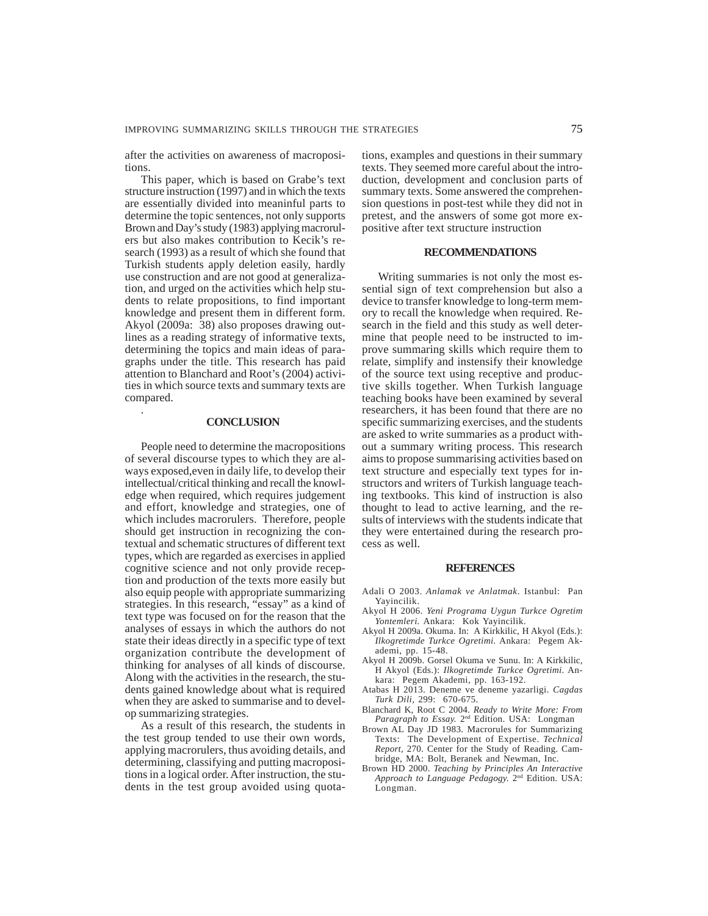after the activities on awareness of macropositions.

This paper, which is based on Grabe's text structure instruction (1997) and in which the texts are essentially divided into meaninful parts to determine the topic sentences, not only supports Brown and Day's study (1983) applying macrorulers but also makes contribution to Kecik's research (1993) as a result of which she found that Turkish students apply deletion easily, hardly use construction and are not good at generalization, and urged on the activities which help students to relate propositions, to find important knowledge and present them in different form. Akyol (2009a: 38) also proposes drawing outlines as a reading strategy of informative texts, determining the topics and main ideas of paragraphs under the title. This research has paid attention to Blanchard and Root's (2004) activities in which source texts and summary texts are compared. .

## **CONCLUSION**

People need to determine the macropositions of several discourse types to which they are always exposed,even in daily life, to develop their intellectual/critical thinking and recall the knowledge when required, which requires judgement and effort, knowledge and strategies, one of which includes macrorulers. Therefore, people should get instruction in recognizing the contextual and schematic structures of different text types, which are regarded as exercises in applied cognitive science and not only provide reception and production of the texts more easily but also equip people with appropriate summarizing strategies. In this research, "essay" as a kind of text type was focused on for the reason that the analyses of essays in which the authors do not state their ideas directly in a specific type of text organization contribute the development of thinking for analyses of all kinds of discourse. Along with the activities in the research, the students gained knowledge about what is required when they are asked to summarise and to develop summarizing strategies.

As a result of this research, the students in the test group tended to use their own words, applying macrorulers, thus avoiding details, and determining, classifying and putting macropositions in a logical order. After instruction, the students in the test group avoided using quotations, examples and questions in their summary texts. They seemed more careful about the introduction, development and conclusion parts of summary texts. Some answered the comprehension questions in post-test while they did not in pretest, and the answers of some got more expositive after text structure instruction

#### **RECOMMENDATIONS**

Writing summaries is not only the most essential sign of text comprehension but also a device to transfer knowledge to long-term memory to recall the knowledge when required. Research in the field and this study as well determine that people need to be instructed to improve summaring skills which require them to relate, simplify and instensify their knowledge of the source text using receptive and productive skills together. When Turkish language teaching books have been examined by several researchers, it has been found that there are no specific summarizing exercises, and the students are asked to write summaries as a product without a summary writing process. This research aims to propose summarising activities based on text structure and especially text types for instructors and writers of Turkish language teaching textbooks. This kind of instruction is also thought to lead to active learning, and the results of interviews with the students indicate that they were entertained during the research process as well.

#### **REFERENCES**

- Adali O 2003. *Anlamak ve Anlatmak*. Istanbul: Pan Yayincilik.
- Akyol H 2006. *Yeni Programa Uygun Turkce Ogretim Yontemleri.* Ankara: Kok Yayincilik.
- Akyol H 2009a. Okuma. In: A Kirkkilic, H Akyol (Eds.): *Ilkogretimde Turkce Ogretimi.* Ankara: Pegem Akademi, pp. 15-48.
- Akyol H 2009b. Gorsel Okuma ve Sunu. In: A Kirkkilic, H Akyol (Eds.): *Ilkogretimde Turkce Ogretimi.* Ankara: Pegem Akademi, pp. 163-192.
- Atabas H 2013. Deneme ve deneme yazarligi. *Cagdas Turk Dili,* 299: 670-675.
- Blanchard K, Root C 2004. *Ready to Write More: From Paragraph to Essay.* 2nd Edition. USA: Longman
- Brown AL Day JD 1983. Macrorules for Summarizing Texts: The Development of Expertise. *Technical Report,* 270. Center for the Study of Reading. Cambridge, MA: Bolt, Beranek and Newman, Inc.
- Brown HD 2000. *Teaching by Principles An Interactive Approach to Language Pedagogy.* 2nd Edition. USA: Longman.